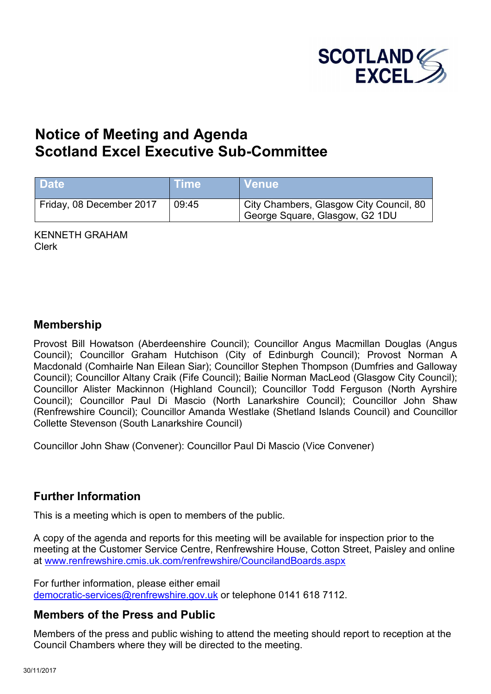

# **Notice of Meeting and Agenda S[cotland Excel Executive Sub-Committee](http://www.renfrewshire.cmis.uk.com/renfrewshire/CouncilandBoards.aspx)**

| <b>Date</b>              | <b>Time</b> | <b>∣Venue</b>                                                             |
|--------------------------|-------------|---------------------------------------------------------------------------|
| Friday, 08 December 2017 | 09:45       | City Chambers, Glasgow City Council, 80<br>George Square, Glasgow, G2 1DU |

KENNETH GRAHAM Clerk

# **Membership**

Provost Bill Howatson (Aberdeenshire Council); Councillor Angus Macmillan Douglas (Angus Council); Councillor Graham Hutchison (City of Edinburgh Council); Provost Norman A Macdonald (Comhairle Nan Eilean Siar); Councillor Stephen Thompson (Dumfries and Galloway Council); Councillor Altany Craik (Fife Council); Bailie Norman MacLeod (Glasgow City Council); Councillor Alister Mackinnon (Highland Council); Councillor Todd Ferguson (North Ayrshire Council); Councillor Paul Di Mascio (North Lanarkshire Council); Councillor John Shaw (Renfrewshire Council); Councillor Amanda Westlake (Shetland Islands Council) and Councillor Collette Stevenson (South Lanarkshire Council)

Councillor John Shaw (Convener): Councillor Paul Di Mascio (Vice Convener)

## **Further Information**

This is a meeting which is open to members of the public.

A copy of the agenda and reports for this meeting will be available for inspection prior to the meeting at the Customer Service Centre, Renfrewshire House, Cotton Street, Paisley and online at www.renfrewshire.cmis.uk.com/renfrewshire/CouncilandBoards.aspx

For further information, please either email [democratic-services@renfrewshire.gov.uk](mailto:democratic-services@renfrewshire.gov.uk) or telephone 0141 618 7112.

# **Members of the Press and Public**

Members of the press and public wishing to attend the meeting should report to reception at the Council Chambers where they will be directed to the meeting.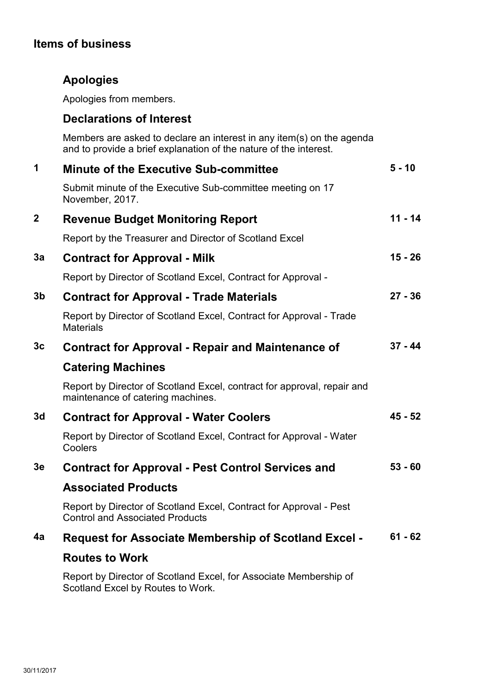# **Items of business**

# **Apologies**

Apologies from members.

# **Declarations of Interest**

Members are asked to declare an interest in any item(s) on the agenda and to provide a brief explanation of the nature of the interest.

| 1              | <b>Minute of the Executive Sub-committee</b>                                                                 | $5 - 10$  |
|----------------|--------------------------------------------------------------------------------------------------------------|-----------|
|                | Submit minute of the Executive Sub-committee meeting on 17<br>November, 2017.                                |           |
| $\mathbf{2}$   | <b>Revenue Budget Monitoring Report</b>                                                                      | $11 - 14$ |
|                | Report by the Treasurer and Director of Scotland Excel                                                       |           |
| 3a             | <b>Contract for Approval - Milk</b>                                                                          | $15 - 26$ |
|                | Report by Director of Scotland Excel, Contract for Approval -                                                |           |
| 3 <sub>b</sub> | <b>Contract for Approval - Trade Materials</b>                                                               | $27 - 36$ |
|                | Report by Director of Scotland Excel, Contract for Approval - Trade<br><b>Materials</b>                      |           |
| 3c             | <b>Contract for Approval - Repair and Maintenance of</b>                                                     | $37 - 44$ |
|                | <b>Catering Machines</b>                                                                                     |           |
|                | Report by Director of Scotland Excel, contract for approval, repair and<br>maintenance of catering machines. |           |
| 3d             | <b>Contract for Approval - Water Coolers</b>                                                                 | $45 - 52$ |
|                | Report by Director of Scotland Excel, Contract for Approval - Water<br>Coolers                               |           |
| 3 <sub>e</sub> | <b>Contract for Approval - Pest Control Services and</b>                                                     | $53 - 60$ |
|                | <b>Associated Products</b>                                                                                   |           |
|                | Report by Director of Scotland Excel, Contract for Approval - Pest<br><b>Control and Associated Products</b> |           |
| 4a             | <b>Request for Associate Membership of Scotland Excel -</b>                                                  | $61 - 62$ |
|                | <b>Routes to Work</b>                                                                                        |           |
|                | Report by Director of Scotland Excel, for Associate Membership of<br>Scotland Excel by Routes to Work.       |           |